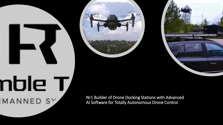# nble T MANNED SY

Nr1 Builder of Drone Docking Stations with Advanced AI Software for Totally Autonomous Drone Control





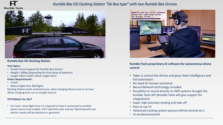

## *Rumble Bee DD Docking Station "Ski Box type" with two Rumble Bee Drones*



#### **Rumble Bee DD Docking Station**

#### **Tech Specs:**

- Double Drone Support for Rumble Bee Drones
- Weight +100kg (Depending the final setup of batteries)
- Length 230cm width 120cm height 45cm

#### **Power Requirements:**

- 12VDC
- Battery flight time 400 flights

Docking Station works autonomously when charging drones once in an hour. When charging from car on straight electric

#### **OPTIONALLY for 24/7**

• For more close flight time it is required to have it connected to another power source that enables 24/7 operation year around. Operating with out electric needs will be batteries or generator



**Rumble Tools proprietary AI software for autonomous drone control**

- Takes in control the drones and gives them intelligence and full automation
- No need for human assistance
- Neural Network technology included
- Possibility to record directly to VMS systems thought the Rumble Tools API (Rumble Tools will give support for integrations)
- Super high precision landing and take off
- Ease to use UI
- Advanced tracking system (person,Vehicle,Animal etc.)
- UI windows/android